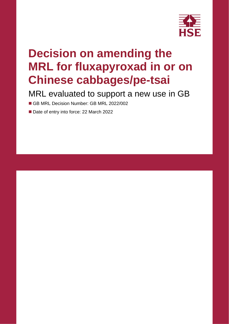

# **Decision on amending the MRL for fluxapyroxad in or on Chinese cabbages/pe-tsai**

MRL evaluated to support a new use in GB

■ GB MRL Decision Number: GB MRL 2022/002

■ Date of entry into force: 22 March 2022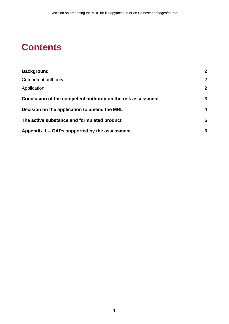## **Contents**

| <b>Background</b>                                            | $\overline{2}$ |  |
|--------------------------------------------------------------|----------------|--|
| Competent authority                                          | $\overline{2}$ |  |
| Application                                                  | $\overline{2}$ |  |
| Conclusion of the competent authority on the risk assessment | 3              |  |
| Decision on the application to amend the MRL                 |                |  |
| The active substance and formulated product                  | 5              |  |
| Appendix 1 – GAPs supported by the assessment                | 6              |  |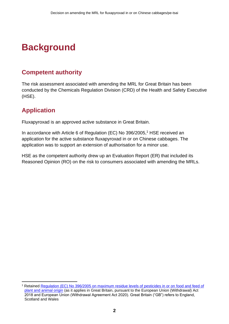# <span id="page-3-0"></span>**Background**

### <span id="page-3-1"></span>**Competent authority**

The risk assessment associated with amending the MRL for Great Britain has been conducted by the Chemicals Regulation Division (CRD) of the Health and Safety Executive (HSE).

### <span id="page-3-2"></span>**Application**

Fluxapyroxad is an approved active substance in Great Britain.

In accordance with Article 6 of Regulation (EC) No 396/2005, <sup>1</sup> HSE received an application for the active substance fluxapyroxad in or on Chinese cabbages. The application was to support an extension of authorisation for a minor use.

HSE as the competent authority drew up an Evaluation Report (ER) that included its Reasoned Opinion (RO) on the risk to consumers associated with amending the MRLs.

<sup>1</sup> Retained [Regulation \(EC\) No 396/2005 on maximum residue levels of pesticides in or on food and feed of](https://www.legislation.gov.uk/eur/2005/396/contents)  [plant and animal origin](https://www.legislation.gov.uk/eur/2005/396/contents) (as it applies in Great Britain, pursuant to the European Union (Withdrawal) Act 2018 and European Union (Withdrawal Agreement Act 2020). Great Britain ("GB") refers to England, Scotland and Wales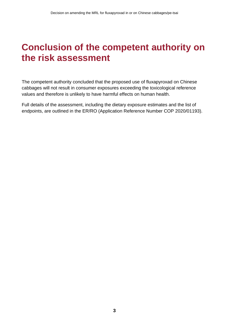### <span id="page-4-0"></span>**Conclusion of the competent authority on the risk assessment**

The competent authority concluded that the proposed use of fluxapyroxad on Chinese cabbages will not result in consumer exposures exceeding the toxicological reference values and therefore is unlikely to have harmful effects on human health.

Full details of the assessment, including the dietary exposure estimates and the list of endpoints, are outlined in the ER/RO (Application Reference Number COP 2020/01193).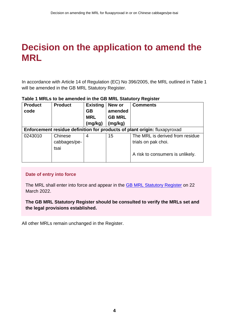### <span id="page-5-0"></span>**Decision on the application to amend the MRL**

In accordance with Article 14 of Regulation (EC) No 396/2005, the MRL outlined in Table 1 will be amended in the GB MRL Statutory Register.

| <b>Product</b><br>code                                                    | <b>Product</b> | <b>Existing</b><br>GB<br><b>MRL</b><br>(mg/kg) | New or<br>amended<br><b>GB MRL</b><br>(mg/kg) | <b>Comments</b>                  |  |  |  |
|---------------------------------------------------------------------------|----------------|------------------------------------------------|-----------------------------------------------|----------------------------------|--|--|--|
| Enforcement residue definition for products of plant origin: fluxapyroxad |                |                                                |                                               |                                  |  |  |  |
| 0243010                                                                   | Chinese        | 4                                              | 15                                            | The MRL is derived from residue  |  |  |  |
|                                                                           | cabbages/pe-   |                                                |                                               | trials on pak choi.              |  |  |  |
|                                                                           | tsai           |                                                |                                               |                                  |  |  |  |
|                                                                           |                |                                                |                                               | A risk to consumers is unlikely. |  |  |  |

#### **Table 1 MRLs to be amended in the GB MRL Statutory Register**

#### **Date of entry into force**

The MRL shall enter into force and appear in the [GB MRL Statutory Register](https://secure.pesticides.gov.uk/MRLs/Main) on 22 March 2022.

#### **The GB MRL Statutory Register should be consulted to verify the MRLs set and the legal provisions established.**

All other MRLs remain unchanged in the Register.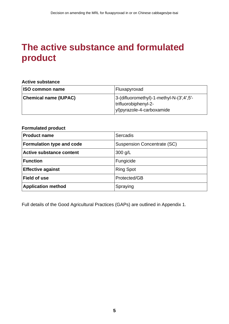### <span id="page-6-0"></span>**The active substance and formulated product**

#### **Active substance**

| <b>ISO common name</b>       | Fluxapyroxad                                                            |
|------------------------------|-------------------------------------------------------------------------|
| <b>Chemical name (IUPAC)</b> | $ 3-(diffluorometry) - 1-methyl-N-(3',4',5'-1)$<br>trifluorobiphenyl-2- |
|                              | vl)pyrazole-4-carboxamide                                               |

#### **Formulated product**

| <b>Product name</b>              | Sercadis                           |
|----------------------------------|------------------------------------|
| <b>Formulation type and code</b> | <b>Suspension Concentrate (SC)</b> |
| <b>Active substance content</b>  | $300$ g/L                          |
| <b>Function</b>                  | Fungicide                          |
| <b>Effective against</b>         | <b>Ring Spot</b>                   |
| <b>Field of use</b>              | Protected/GB                       |
| <b>Application method</b>        | Spraying                           |

Full details of the Good Agricultural Practices (GAPs) are outlined in Appendix 1.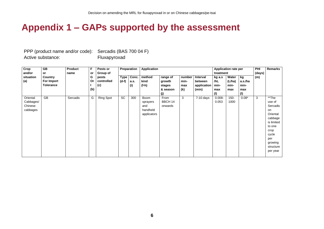### **Appendix 1 – GAPs supported by the assessment**

PPP (product name and/or code): Sercadis (BAS 700 04 F) Active substance: Fluxapyroxad

<span id="page-7-0"></span>

| Crop<br>and/or                               | $\overline{GB}$<br>or                     | Product<br>name | F<br>or        | Pests or<br>Group of       |                        | Preparation          | <b>Application</b>                                        |                                                 |                              |                                             | treatment                           | Application rate per           |                                     | PHI<br>(days) | Remarks                                                                                                                                      |
|----------------------------------------------|-------------------------------------------|-----------------|----------------|----------------------------|------------------------|----------------------|-----------------------------------------------------------|-------------------------------------------------|------------------------------|---------------------------------------------|-------------------------------------|--------------------------------|-------------------------------------|---------------|----------------------------------------------------------------------------------------------------------------------------------------------|
| situation<br>(a)                             | Country<br>For Import<br><b>Tolerance</b> |                 | G<br>Or<br>(b) | pests<br>controlled<br>(c) | <b>Type</b><br>$(d-f)$ | Conc.<br>a.s.<br>(i) | method<br>kind<br>(f-h)                                   | range of<br>growth<br>stages<br>& season<br>(j) | number<br>min-<br>max<br>(k) | Interval<br>between<br>application<br>(min) | kg a.s<br>/hL<br>min-<br>max<br>(1) | Water<br>(L/ha)<br>min-<br>max | kg<br>a.s./ha<br>min-<br>max<br>(1) | (m)           |                                                                                                                                              |
| Oriental<br>Cabbages/<br>Chinese<br>cabbages | <b>GB</b>                                 | Sercadis        | G              | <b>Ring Spot</b>           | <b>SC</b>              | 300                  | <b>Boom</b><br>sprayers<br>and<br>handheld<br>applicators | From<br>BBCH 14<br>onwards                      | 3                            | $7-10$ days                                 | $0.008 -$<br>0.053                  | $150 -$<br>1000                | $0.08*$                             | 3             | **The<br>use of<br>Sercadis<br>on<br>Oriental<br>cabbage<br>is limited<br>to one<br>crop<br>cycle<br>per<br>growing<br>structure<br>per year |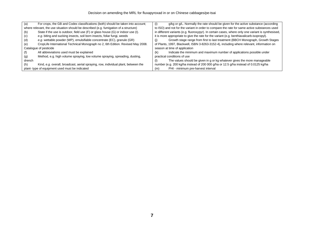| (a)                                                                                    | For crops, the GB and Codex classifications (both) should be taken into account;   | g/kg or g/L. Normally the rate should be given for the active substance (according<br>$\left( 1\right)$ |  |  |  |  |
|----------------------------------------------------------------------------------------|------------------------------------------------------------------------------------|---------------------------------------------------------------------------------------------------------|--|--|--|--|
| where relevant, the use situation should be described (e.g. fumigation of a structure) |                                                                                    | to ISO) and not for the variant in order to compare the rate for same active substances used            |  |  |  |  |
| (b)                                                                                    | State if the use is outdoor, field use (F) or glass house (G) or indoor use (I).   | in different variants (e.g. fluoroxypyr). In certain cases, where only one variant is synthesised,      |  |  |  |  |
| (c)                                                                                    | e.g. biting and sucking insects, soil born insects, foliar fungi, weeds            | it is more appropriate to give the rate for the variant (e.g. benthiavalicarb-isopropyl).               |  |  |  |  |
| (d)                                                                                    | e.g. wettable powder (WP), emulsifiable concentrate (EC), granule (GR)             | Growth stage range from first to last treatment (BBCH Monograph, Growth Stages                          |  |  |  |  |
| (e)                                                                                    | CropLife International Technical Monograph no 2, 6th Edition. Revised May 2008.    | of Plants, 1997, Blackwell, ISBN 3-8263-3152-4), including where relevant, information on               |  |  |  |  |
| Catalogue of pesticide                                                                 |                                                                                    | season at time of application                                                                           |  |  |  |  |
|                                                                                        | All abbreviations used must be explained                                           | Indicate the minimum and maximum number of applications possible under<br>(k)                           |  |  |  |  |
| (g)                                                                                    | Method, e.g. high volume spraying, low volume spraying, spreading, dusting,        | practical conditions of use                                                                             |  |  |  |  |
| drench                                                                                 |                                                                                    | The values should be given in g or kg whatever gives the more manageable                                |  |  |  |  |
| (h)                                                                                    | Kind, e.g. overall, broadcast, aerial spraying, row, individual plant, between the | number (e.g. 200 kg/ha instead of 200 000 g/ha or 12.5 g/ha instead of 0.0125 kg/ha                     |  |  |  |  |
|                                                                                        | plant-type of equipment used must be indicated                                     | PHI - minimum pre-harvest interval<br>(m)                                                               |  |  |  |  |